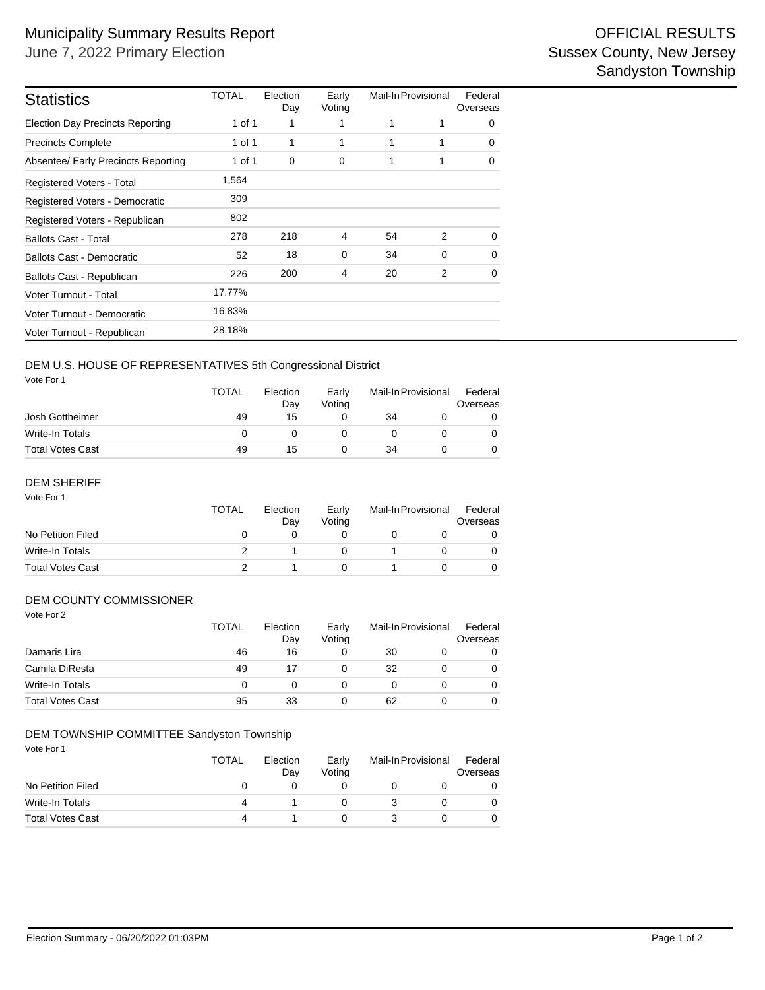| <b>Statistics</b>                       | TOTAL  | Election<br>Day | Early<br>Voting | Mail-In Provisional |          | Federal<br>Overseas |  |
|-----------------------------------------|--------|-----------------|-----------------|---------------------|----------|---------------------|--|
| <b>Election Day Precincts Reporting</b> | 1 of 1 | 1               |                 | 1                   | 1        | $\Omega$            |  |
| <b>Precincts Complete</b>               | 1 of 1 | 1               | 1               | 1                   | 1        | $\Omega$            |  |
| Absentee/ Early Precincts Reporting     | 1 of 1 | 0               | 0               | 1                   | 1        | 0                   |  |
| <b>Registered Voters - Total</b>        | 1,564  |                 |                 |                     |          |                     |  |
| Registered Voters - Democratic          | 309    |                 |                 |                     |          |                     |  |
| Registered Voters - Republican          | 802    |                 |                 |                     |          |                     |  |
| <b>Ballots Cast - Total</b>             | 278    | 218             | 4               | 54                  | 2        | $\Omega$            |  |
| <b>Ballots Cast - Democratic</b>        | 52     | 18              | $\mathbf 0$     | 34                  | $\Omega$ | 0                   |  |
| Ballots Cast - Republican               | 226    | 200             | 4               | 20                  | 2        | $\Omega$            |  |
| Voter Turnout - Total                   | 17.77% |                 |                 |                     |          |                     |  |
| Voter Turnout - Democratic              | 16.83% |                 |                 |                     |          |                     |  |
| Voter Turnout - Republican              | 28.18% |                 |                 |                     |          |                     |  |

### DEM U.S. HOUSE OF REPRESENTATIVES 5th Congressional District

Vote For 1

|                         | <b>TOTAL</b> | Election<br>Dav | Early<br>Votina | Mail-In Provisional |  | Federal<br>Overseas |  |
|-------------------------|--------------|-----------------|-----------------|---------------------|--|---------------------|--|
| Josh Gottheimer         | 49           | 15              |                 | 34                  |  |                     |  |
| Write-In Totals         |              |                 |                 |                     |  |                     |  |
| <b>Total Votes Cast</b> | 49           | 15              |                 | 34                  |  |                     |  |

#### Vote For 1 DEM SHERIFF

|                         | <b>TOTAL</b> | Election<br>Dav | Early<br>Votina | Mail-In Provisional |  | Federal<br>Overseas |
|-------------------------|--------------|-----------------|-----------------|---------------------|--|---------------------|
| No Petition Filed       | $\mathbf{O}$ |                 |                 |                     |  |                     |
| Write-In Totals         |              |                 |                 |                     |  |                     |
| <b>Total Votes Cast</b> |              |                 |                 |                     |  |                     |

### DEM COUNTY COMMISSIONER

| Vote For 2              | <b>TOTAL</b> | Election<br>Day | Early<br>Voting | Mail-In Provisional |  | Federal<br>Overseas |
|-------------------------|--------------|-----------------|-----------------|---------------------|--|---------------------|
| Damaris Lira            | 46           | 16              | 0               | 30                  |  | 0                   |
| Camila DiResta          | 49           | 17              | 0               | 32                  |  | 0                   |
| <b>Write-In Totals</b>  | 0            | 0               | 0               | 0                   |  | 0                   |
| <b>Total Votes Cast</b> | 95           | 33              | 0               | 62                  |  | 0                   |

### DEM TOWNSHIP COMMITTEE Sandyston Township

Vote For 1

|                         | <b>TOTAL</b> | Election<br>Dav | Early<br>Votina | Mail-In Provisional |  | Federal<br>Overseas |  |
|-------------------------|--------------|-----------------|-----------------|---------------------|--|---------------------|--|
| No Petition Filed       |              |                 |                 |                     |  |                     |  |
| Write-In Totals         |              |                 |                 |                     |  |                     |  |
| <b>Total Votes Cast</b> | Δ            |                 |                 |                     |  |                     |  |